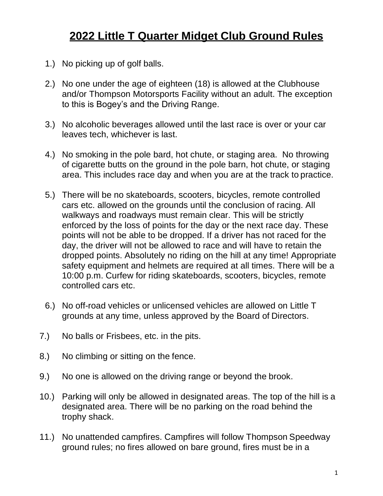## **2022 Little T Quarter Midget Club Ground Rules**

- 1.) No picking up of golf balls.
- 2.) No one under the age of eighteen (18) is allowed at the Clubhouse and/or Thompson Motorsports Facility without an adult. The exception to this is Bogey's and the Driving Range.
- 3.) No alcoholic beverages allowed until the last race is over or your car leaves tech, whichever is last.
- 4.) No smoking in the pole bard, hot chute, or staging area. No throwing of cigarette butts on the ground in the pole barn, hot chute, or staging area. This includes race day and when you are at the track to practice.
- 5.) There will be no skateboards, scooters, bicycles, remote controlled cars etc. allowed on the grounds until the conclusion of racing. All walkways and roadways must remain clear. This will be strictly enforced by the loss of points for the day or the next race day. These points will not be able to be dropped. If a driver has not raced for the day, the driver will not be allowed to race and will have to retain the dropped points. Absolutely no riding on the hill at any time! Appropriate safety equipment and helmets are required at all times. There will be a 10:00 p.m. Curfew for riding skateboards, scooters, bicycles, remote controlled cars etc.
- 6.) No off-road vehicles or unlicensed vehicles are allowed on Little T grounds at any time, unless approved by the Board of Directors.
- 7.) No balls or Frisbees, etc. in the pits.
- 8.) No climbing or sitting on the fence.
- 9.) No one is allowed on the driving range or beyond the brook.
- 10.) Parking will only be allowed in designated areas. The top of the hill is a designated area. There will be no parking on the road behind the trophy shack.
- 11.) No unattended campfires. Campfires will follow Thompson Speedway ground rules; no fires allowed on bare ground, fires must be in a